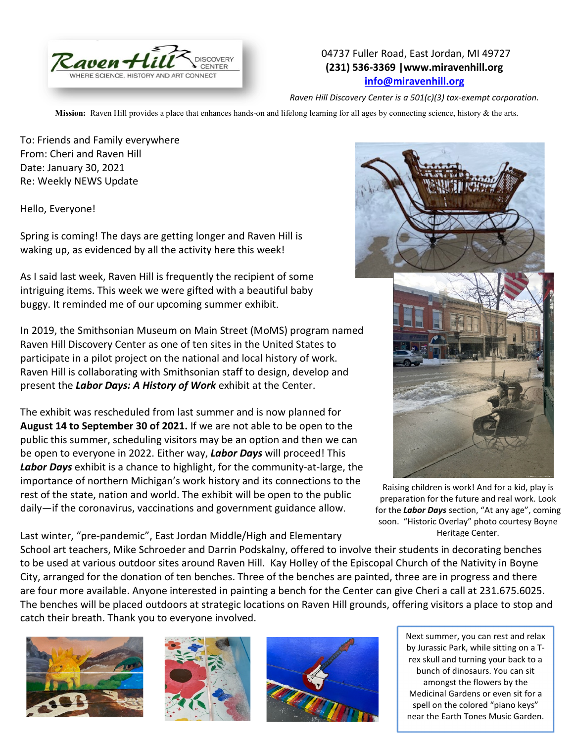

## 04737 Fuller Road, East Jordan, MI 49727 **(231) 536-3369 |www.miravenhill.org [info@miravenhill.org](mailto:info@miravenhill.org)**

*Raven Hill Discovery Center is a 501(c)(3) tax-exempt corporation.*

**Mission:** Raven Hill provides a place that enhances hands-on and lifelong learning for all ages by connecting science, history & the arts.

To: Friends and Family everywhere From: Cheri and Raven Hill Date: January 30, 2021 Re: Weekly NEWS Update

Hello, Everyone!

Spring is coming! The days are getting longer and Raven Hill is waking up, as evidenced by all the activity here this week!

As I said last week, Raven Hill is frequently the recipient of some intriguing items. This week we were gifted with a beautiful baby buggy. It reminded me of our upcoming summer exhibit.

In 2019, the Smithsonian Museum on Main Street (MoMS) program named Raven Hill Discovery Center as one of ten sites in the United States to participate in a pilot project on the national and local history of work. Raven Hill is collaborating with Smithsonian staff to design, develop and present the *Labor Days: A History of Work* exhibit at the Center.

The exhibit was rescheduled from last summer and is now planned for **August 14 to September 30 of 2021.** If we are not able to be open to the public this summer, scheduling visitors may be an option and then we can be open to everyone in 2022. Either way, *Labor Days* will proceed! This *Labor Days* exhibit is a chance to highlight, for the community-at-large, the importance of northern Michigan's work history and its connections to the rest of the state, nation and world. The exhibit will be open to the public daily—if the coronavirus, vaccinations and government guidance allow.

Last winter, "pre-pandemic", East Jordan Middle/High and Elementary



Raising children is work! And for a kid, play is preparation for the future and real work. Look for the *Labor Days* section, "At any age", coming soon. "Historic Overlay" photo courtesy Boyne Heritage Center.

School art teachers, Mike Schroeder and Darrin Podskalny, offered to involve their students in decorating benches to be used at various outdoor sites around Raven Hill. Kay Holley of the Episcopal Church of the Nativity in Boyne City, arranged for the donation of ten benches. Three of the benches are painted, three are in progress and there are four more available. Anyone interested in painting a bench for the Center can give Cheri a call at 231.675.6025. The benches will be placed outdoors at strategic locations on Raven Hill grounds, offering visitors a place to stop and catch their breath. Thank you to everyone involved.







 Next summer, you can rest and relax by Jurassic Park, while sitting on a Trex skull and turning your back to a bunch of dinosaurs. You can sit amongst the flowers by the Medicinal Gardens or even sit for a spell on the colored "piano keys" near the Earth Tones Music Garden.